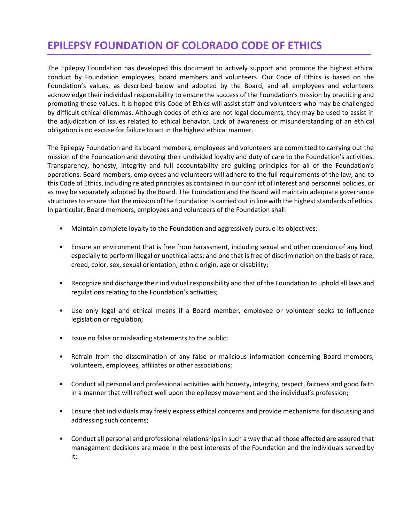## **EPILEPSY FOUNDATION OF COLORADO CODE OF ETHICS**

The Epilepsy Foundation has developed this document to actively support and promote the highest ethical conduct by Foundation employees, board members and volunteers. Our Code of Ethics is based on the Foundation's values, as described below and adopted by the Board, and all employees and volunteers acknowledge their individual responsibility to ensure the success of the Foundation's mission by practicing and promoting these values. It is hoped this Code of Ethics will assist staff and volunteers who may be challenged by difficult ethical dilemmas. Although codes of ethics are not legal documents, they may be used to assist in the adjudication of issues related to ethical behavior. Lack of awareness or misunderstanding of an ethical obligation is no excuse for failure to act in the highest ethical manner.

The Epilepsy Foundation and its board members, employees and volunteers are committed to carrying out the mission of the Foundation and devoting their undivided loyalty and duty of care to the Foundation's activities. Transparency, honesty, integrity and full accountability are guiding principles for all of the Foundation's operations. Board members, employees and volunteers will adhere to the full requirements of the law, and to this Code of Ethics, including related principles as contained in our conflict of interest and personnel policies, or as may be separately adopted by the Board. The Foundation and the Board will maintain adequate governance structures to ensure that the mission of the Foundation is carried out in line with the highest standards of ethics. In particular, Board members, employees and volunteers of the Foundation shall:

- Maintain complete loyalty to the Foundation and aggressively pursue its objectives;
- Ensure an environment that is free from harassment, including sexual and other coercion of any kind, especially to perform illegal or unethical acts; and one that is free of discrimination on the basis of race, creed, color, sex, sexual orientation, ethnic origin, age or disability;
- Recognize and discharge their individual responsibility and that of the Foundation to uphold all laws and regulations relating to the Foundation's activities;
- Use only legal and ethical means if a Board member, employee or volunteer seeks to influence legislation or regulation;
- Issue no false or misleading statements to the public;
- Refrain from the dissemination of any false or malicious information concerning Board members, volunteers, employees, affiliates or other associations;
- Conduct all personal and professional activities with honesty, integrity, respect, fairness and good faith in a manner that will reflect well upon the epilepsy movement and the individual's profession;
- Ensure that individuals may freely express ethical concerns and provide mechanisms for discussing and addressing such concerns;
- Conduct all personal and professional relationships in such a way that all those affected are assured that management decisions are made in the best interests of the Foundation and the individuals served by it;